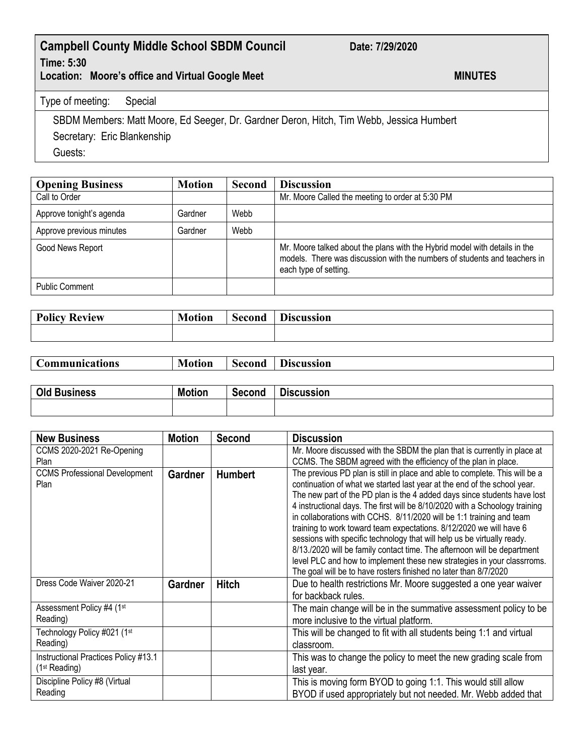## **Campbell County Middle School SBDM Council Date: 7/29/2020 Time: 5:30**

Location: Moore's office and Virtual Google Meet **MINUTES** 

## Type of meeting: Special

SBDM Members: Matt Moore, Ed Seeger, Dr. Gardner Deron, Hitch, Tim Webb, Jessica Humbert Secretary: Eric Blankenship Guests:

| <b>Opening Business</b>  | <b>Motion</b> | <b>Second</b> | <b>Discussion</b>                                                                                                                                                                |
|--------------------------|---------------|---------------|----------------------------------------------------------------------------------------------------------------------------------------------------------------------------------|
| Call to Order            |               |               | Mr. Moore Called the meeting to order at 5:30 PM                                                                                                                                 |
| Approve tonight's agenda | Gardner       | Webb          |                                                                                                                                                                                  |
| Approve previous minutes | Gardner       | Webb          |                                                                                                                                                                                  |
| Good News Report         |               |               | Mr. Moore talked about the plans with the Hybrid model with details in the<br>models. There was discussion with the numbers of students and teachers in<br>each type of setting. |
| <b>Public Comment</b>    |               |               |                                                                                                                                                                                  |

| <b>Policy</b><br><b>Review</b><br>T AIT | - 7<br>lotion | -<br>iecond<br>$\mathbf{v}$ | D.<br>scussion<br>DI C |
|-----------------------------------------|---------------|-----------------------------|------------------------|
|                                         |               |                             |                        |

| <b>Communications</b> | Motion | Second | Discussion |
|-----------------------|--------|--------|------------|
|                       |        |        |            |

| Old P<br><b>Business</b> | <b>Motion</b> | Second | --<br><b>Discussion</b> |
|--------------------------|---------------|--------|-------------------------|
|                          |               |        |                         |

| <b>New Business</b>                                               | <b>Motion</b>  | Second         | <b>Discussion</b>                                                                                                                                                                                                                                                                                                                                                                                                                                                                                                                                                                                                                                                                                                                                                       |
|-------------------------------------------------------------------|----------------|----------------|-------------------------------------------------------------------------------------------------------------------------------------------------------------------------------------------------------------------------------------------------------------------------------------------------------------------------------------------------------------------------------------------------------------------------------------------------------------------------------------------------------------------------------------------------------------------------------------------------------------------------------------------------------------------------------------------------------------------------------------------------------------------------|
| CCMS 2020-2021 Re-Opening                                         |                |                | Mr. Moore discussed with the SBDM the plan that is currently in place at                                                                                                                                                                                                                                                                                                                                                                                                                                                                                                                                                                                                                                                                                                |
| Plan                                                              |                |                | CCMS. The SBDM agreed with the efficiency of the plan in place.                                                                                                                                                                                                                                                                                                                                                                                                                                                                                                                                                                                                                                                                                                         |
| <b>CCMS Professional Development</b><br>Plan                      | <b>Gardner</b> | <b>Humbert</b> | The previous PD plan is still in place and able to complete. This will be a<br>continuation of what we started last year at the end of the school year.<br>The new part of the PD plan is the 4 added days since students have lost<br>4 instructional days. The first will be 8/10/2020 with a Schoology training<br>in collaborations with CCHS. 8/11/2020 will be 1:1 training and team<br>training to work toward team expectations. 8/12/2020 we will have 6<br>sessions with specific technology that will help us be virtually ready.<br>8/13./2020 will be family contact time. The afternoon will be department<br>level PLC and how to implement these new strategies in your classrroms.<br>The goal will be to have rosters finished no later than 8/7/2020 |
| Dress Code Waiver 2020-21                                         | <b>Gardner</b> | <b>Hitch</b>   | Due to health restrictions Mr. Moore suggested a one year waiver<br>for backback rules.                                                                                                                                                                                                                                                                                                                                                                                                                                                                                                                                                                                                                                                                                 |
| Assessment Policy #4 (1st<br>Reading)                             |                |                | The main change will be in the summative assessment policy to be<br>more inclusive to the virtual platform.                                                                                                                                                                                                                                                                                                                                                                                                                                                                                                                                                                                                                                                             |
| Technology Policy #021 (1st<br>Reading)                           |                |                | This will be changed to fit with all students being 1:1 and virtual<br>classroom.                                                                                                                                                                                                                                                                                                                                                                                                                                                                                                                                                                                                                                                                                       |
| Instructional Practices Policy #13.1<br>(1 <sup>st</sup> Reading) |                |                | This was to change the policy to meet the new grading scale from<br>last year.                                                                                                                                                                                                                                                                                                                                                                                                                                                                                                                                                                                                                                                                                          |
| Discipline Policy #8 (Virtual<br>Reading                          |                |                | This is moving form BYOD to going 1:1. This would still allow<br>BYOD if used appropriately but not needed. Mr. Webb added that                                                                                                                                                                                                                                                                                                                                                                                                                                                                                                                                                                                                                                         |